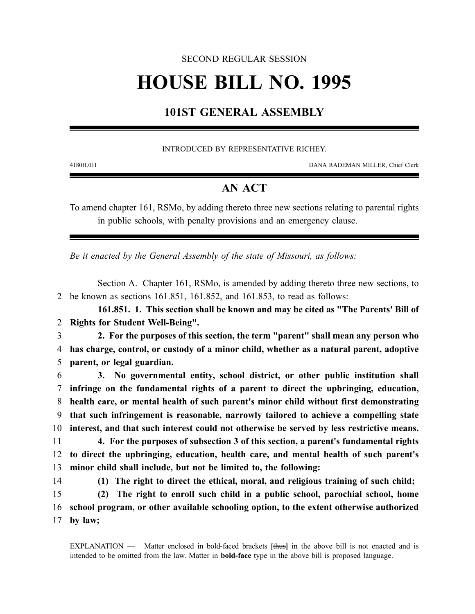### SECOND REGULAR SESSION

# **HOUSE BILL NO. 1995**

## **101ST GENERAL ASSEMBLY**

#### INTRODUCED BY REPRESENTATIVE RICHEY.

4180H.01I DANA RADEMAN MILLER, Chief Clerk

## **AN ACT**

To amend chapter 161, RSMo, by adding thereto three new sections relating to parental rights in public schools, with penalty provisions and an emergency clause.

*Be it enacted by the General Assembly of the state of Missouri, as follows:*

Section A. Chapter 161, RSMo, is amended by adding thereto three new sections, to 2 be known as sections 161.851, 161.852, and 161.853, to read as follows:

**161.851. 1. This section shall be known and may be cited as "The Parents' Bill of** 2 **Rights for Student Well-Being".**

3 **2. For the purposes of this section, the term "parent" shall mean any person who** 4 **has charge, control, or custody of a minor child, whether as a natural parent, adoptive** 5 **parent, or legal guardian.**

 **3. No governmental entity, school district, or other public institution shall infringe on the fundamental rights of a parent to direct the upbringing, education, health care, or mental health of such parent's minor child without first demonstrating that such infringement is reasonable, narrowly tailored to achieve a compelling state interest, and that such interest could not otherwise be served by less restrictive means.**

11 **4. For the purposes of subsection 3 of this section, a parent's fundamental rights** 12 **to direct the upbringing, education, health care, and mental health of such parent's** 13 **minor child shall include, but not be limited to, the following:**

14 **(1) The right to direct the ethical, moral, and religious training of such child;**

15 **(2) The right to enroll such child in a public school, parochial school, home** 16 **school program, or other available schooling option, to the extent otherwise authorized** 17 **by law;**

EXPLANATION — Matter enclosed in bold-faced brackets **[**thus**]** in the above bill is not enacted and is intended to be omitted from the law. Matter in **bold-face** type in the above bill is proposed language.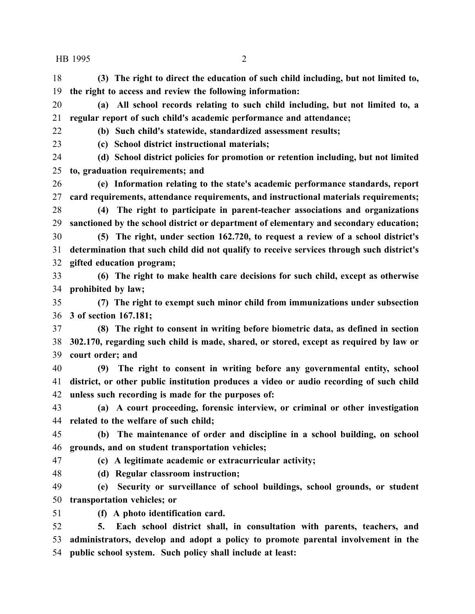**(3) The right to direct the education of such child including, but not limited to, the right to access and review the following information:**

 **(a) All school records relating to such child including, but not limited to, a regular report of such child's academic performance and attendance;**

**(b) Such child's statewide, standardized assessment results;**

**(c) School district instructional materials;**

 **(d) School district policies for promotion or retention including, but not limited to, graduation requirements; and**

 **(e) Information relating to the state's academic performance standards, report card requirements, attendance requirements, and instructional materials requirements;**

 **(4) The right to participate in parent-teacher associations and organizations sanctioned by the school district or department of elementary and secondary education;**

 **(5) The right, under section 162.720, to request a review of a school district's determination that such child did not qualify to receive services through such district's gifted education program;**

 **(6) The right to make health care decisions for such child, except as otherwise prohibited by law;**

 **(7) The right to exempt such minor child from immunizations under subsection 3 of section 167.181;**

 **(8) The right to consent in writing before biometric data, as defined in section 302.170, regarding such child is made, shared, or stored, except as required by law or court order; and**

 **(9) The right to consent in writing before any governmental entity, school district, or other public institution produces a video or audio recording of such child unless such recording is made for the purposes of:**

 **(a) A court proceeding, forensic interview, or criminal or other investigation related to the welfare of such child;**

 **(b) The maintenance of order and discipline in a school building, on school grounds, and on student transportation vehicles;**

**(c) A legitimate academic or extracurricular activity;**

**(d) Regular classroom instruction;**

 **(e) Security or surveillance of school buildings, school grounds, or student transportation vehicles; or**

**(f) A photo identification card.**

 **5. Each school district shall, in consultation with parents, teachers, and administrators, develop and adopt a policy to promote parental involvement in the public school system. Such policy shall include at least:**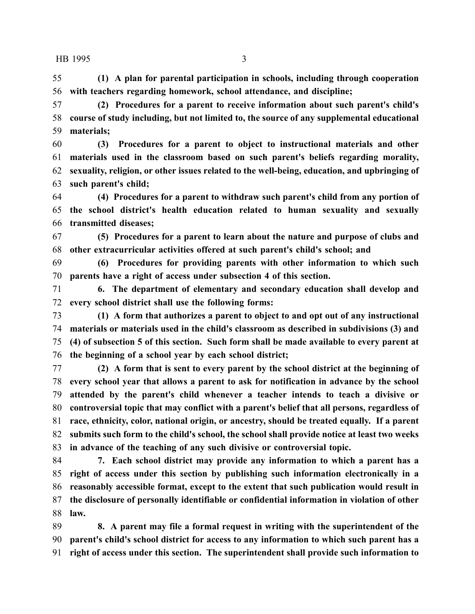**(1) A plan for parental participation in schools, including through cooperation with teachers regarding homework, school attendance, and discipline;**

 **(2) Procedures for a parent to receive information about such parent's child's course of study including, but not limited to, the source of any supplemental educational materials;**

 **(3) Procedures for a parent to object to instructional materials and other materials used in the classroom based on such parent's beliefs regarding morality, sexuality, religion, or other issues related to the well-being, education, and upbringing of such parent's child;**

 **(4) Procedures for a parent to withdraw such parent's child from any portion of the school district's health education related to human sexuality and sexually transmitted diseases;**

 **(5) Procedures for a parent to learn about the nature and purpose of clubs and other extracurricular activities offered at such parent's child's school; and**

 **(6) Procedures for providing parents with other information to which such parents have a right of access under subsection 4 of this section.**

 **6. The department of elementary and secondary education shall develop and every school district shall use the following forms:**

 **(1) A form that authorizes a parent to object to and opt out of any instructional materials or materials used in the child's classroom as described in subdivisions (3) and (4) of subsection 5 of this section. Such form shall be made available to every parent at the beginning of a school year by each school district;**

 **(2) A form that is sent to every parent by the school district at the beginning of every school year that allows a parent to ask for notification in advance by the school attended by the parent's child whenever a teacher intends to teach a divisive or controversial topic that may conflict with a parent's belief that all persons, regardless of race, ethnicity, color, national origin, or ancestry, should be treated equally. If a parent submits such form to the child's school, the school shall provide notice at least two weeks in advance of the teaching of any such divisive or controversial topic.**

 **7. Each school district may provide any information to which a parent has a right of access under this section by publishing such information electronically in a reasonably accessible format, except to the extent that such publication would result in the disclosure of personally identifiable or confidential information in violation of other law.**

 **8. A parent may file a formal request in writing with the superintendent of the parent's child's school district for access to any information to which such parent has a right of access under this section. The superintendent shall provide such information to**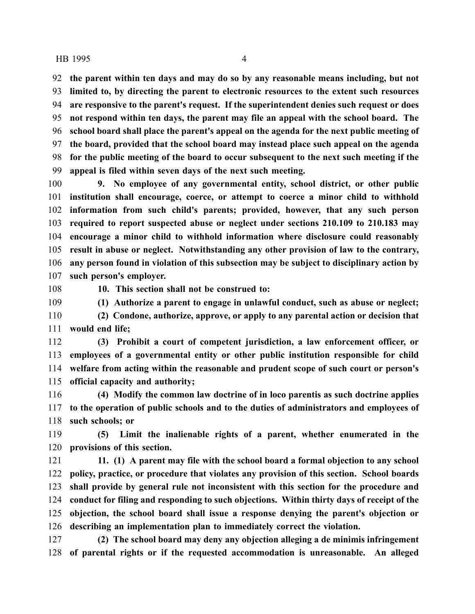**the parent within ten days and may do so by any reasonable means including, but not limited to, by directing the parent to electronic resources to the extent such resources are responsive to the parent's request. If the superintendent denies such request or does not respond within ten days, the parent may file an appeal with the school board. The school board shall place the parent's appeal on the agenda for the next public meeting of the board, provided that the school board may instead place such appeal on the agenda for the public meeting of the board to occur subsequent to the next such meeting if the appeal is filed within seven days of the next such meeting.**

 **9. No employee of any governmental entity, school district, or other public institution shall encourage, coerce, or attempt to coerce a minor child to withhold information from such child's parents; provided, however, that any such person required to report suspected abuse or neglect under sections 210.109 to 210.183 may encourage a minor child to withhold information where disclosure could reasonably result in abuse or neglect. Notwithstanding any other provision of law to the contrary, any person found in violation of this subsection may be subject to disciplinary action by such person's employer.**

**10. This section shall not be construed to:**

**(1) Authorize a parent to engage in unlawful conduct, such as abuse or neglect;**

 **(2) Condone, authorize, approve, or apply to any parental action or decision that would end life;**

 **(3) Prohibit a court of competent jurisdiction, a law enforcement officer, or employees of a governmental entity or other public institution responsible for child welfare from acting within the reasonable and prudent scope of such court or person's official capacity and authority;**

 **(4) Modify the common law doctrine of in loco parentis as such doctrine applies to the operation of public schools and to the duties of administrators and employees of such schools; or**

 **(5) Limit the inalienable rights of a parent, whether enumerated in the provisions of this section.**

 **11. (1) A parent may file with the school board a formal objection to any school policy, practice, or procedure that violates any provision of this section. School boards shall provide by general rule not inconsistent with this section for the procedure and conduct for filing and responding to such objections. Within thirty days of receipt of the objection, the school board shall issue a response denying the parent's objection or describing an implementation plan to immediately correct the violation.**

 **(2) The school board may deny any objection alleging a de minimis infringement of parental rights or if the requested accommodation is unreasonable. An alleged**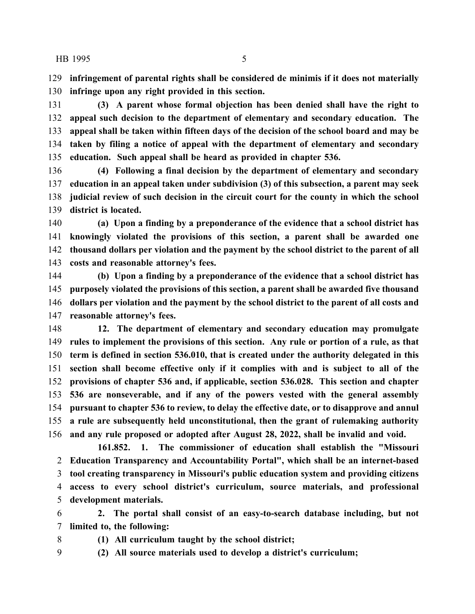**infringement of parental rights shall be considered de minimis if it does not materially infringe upon any right provided in this section.**

 **(3) A parent whose formal objection has been denied shall have the right to appeal such decision to the department of elementary and secondary education. The appeal shall be taken within fifteen days of the decision of the school board and may be taken by filing a notice of appeal with the department of elementary and secondary education. Such appeal shall be heard as provided in chapter 536.**

 **(4) Following a final decision by the department of elementary and secondary education in an appeal taken under subdivision (3) of this subsection, a parent may seek judicial review of such decision in the circuit court for the county in which the school district is located.**

 **(a) Upon a finding by a preponderance of the evidence that a school district has knowingly violated the provisions of this section, a parent shall be awarded one thousand dollars per violation and the payment by the school district to the parent of all costs and reasonable attorney's fees.**

 **(b) Upon a finding by a preponderance of the evidence that a school district has purposely violated the provisions of this section, a parent shall be awarded five thousand dollars per violation and the payment by the school district to the parent of all costs and reasonable attorney's fees.**

 **12. The department of elementary and secondary education may promulgate rules to implement the provisions of this section. Any rule or portion of a rule, as that term is defined in section 536.010, that is created under the authority delegated in this section shall become effective only if it complies with and is subject to all of the provisions of chapter 536 and, if applicable, section 536.028. This section and chapter 536 are nonseverable, and if any of the powers vested with the general assembly pursuant to chapter 536 to review, to delay the effective date, or to disapprove and annul a rule are subsequently held unconstitutional, then the grant of rulemaking authority and any rule proposed or adopted after August 28, 2022, shall be invalid and void.**

**161.852. 1. The commissioner of education shall establish the "Missouri Education Transparency and Accountability Portal", which shall be an internet-based tool creating transparency in Missouri's public education system and providing citizens access to every school district's curriculum, source materials, and professional development materials.**

 **2. The portal shall consist of an easy-to-search database including, but not limited to, the following:**

**(1) All curriculum taught by the school district;**

**(2) All source materials used to develop a district's curriculum;**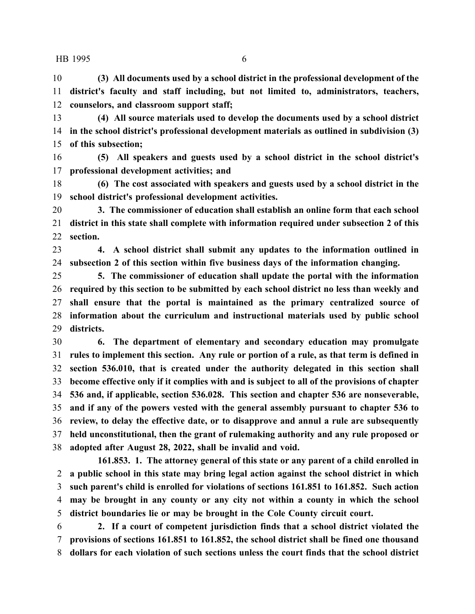**(3) All documents used by a school district in the professional development of the district's faculty and staff including, but not limited to, administrators, teachers, counselors, and classroom support staff;**

 **(4) All source materials used to develop the documents used by a school district in the school district's professional development materials as outlined in subdivision (3) of this subsection;**

 **(5) All speakers and guests used by a school district in the school district's professional development activities; and**

 **(6) The cost associated with speakers and guests used by a school district in the school district's professional development activities.**

 **3. The commissioner of education shall establish an online form that each school district in this state shall complete with information required under subsection 2 of this section.**

 **4. A school district shall submit any updates to the information outlined in subsection 2 of this section within five business days of the information changing.**

 **5. The commissioner of education shall update the portal with the information required by this section to be submitted by each school district no less than weekly and shall ensure that the portal is maintained as the primary centralized source of information about the curriculum and instructional materials used by public school districts.**

 **6. The department of elementary and secondary education may promulgate rules to implement this section. Any rule or portion of a rule, as that term is defined in section 536.010, that is created under the authority delegated in this section shall become effective only if it complies with and is subject to all of the provisions of chapter 536 and, if applicable, section 536.028. This section and chapter 536 are nonseverable, and if any of the powers vested with the general assembly pursuant to chapter 536 to review, to delay the effective date, or to disapprove and annul a rule are subsequently held unconstitutional, then the grant of rulemaking authority and any rule proposed or adopted after August 28, 2022, shall be invalid and void.**

**161.853. 1. The attorney general of this state or any parent of a child enrolled in a public school in this state may bring legal action against the school district in which such parent's child is enrolled for violations of sections 161.851 to 161.852. Such action may be brought in any county or any city not within a county in which the school district boundaries lie or may be brought in the Cole County circuit court.**

 **2. If a court of competent jurisdiction finds that a school district violated the provisions of sections 161.851 to 161.852, the school district shall be fined one thousand dollars for each violation of such sections unless the court finds that the school district**